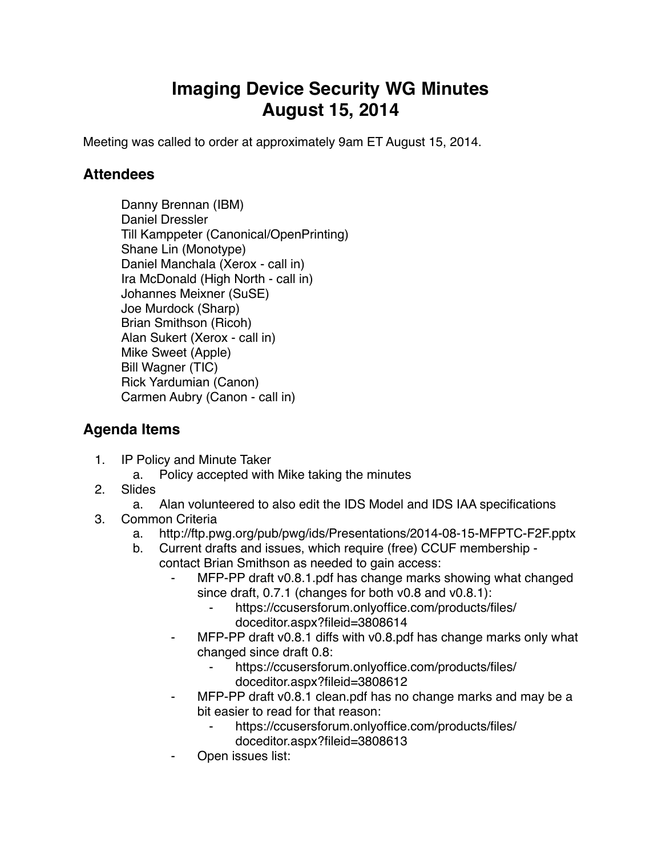## **Imaging Device Security WG Minutes August 15, 2014**

Meeting was called to order at approximately 9am ET August 15, 2014.

## **Attendees**

Danny Brennan (IBM) Daniel Dressler Till Kamppeter (Canonical/OpenPrinting) Shane Lin (Monotype) Daniel Manchala (Xerox - call in) Ira McDonald (High North - call in) Johannes Meixner (SuSE) Joe Murdock (Sharp) Brian Smithson (Ricoh) Alan Sukert (Xerox - call in) Mike Sweet (Apple) Bill Wagner (TIC) Rick Yardumian (Canon) Carmen Aubry (Canon - call in)

## **Agenda Items**

- 1. IP Policy and Minute Taker
	- a. Policy accepted with Mike taking the minutes
- 2. Slides
	- a. Alan volunteered to also edit the IDS Model and IDS IAA specifications
- 3. Common Criteria
	- a. http://ftp.pwg.org/pub/pwg/ids/Presentations/2014-08-15-MFPTC-F2F.pptx
	- b. Current drafts and issues, which require (free) CCUF membership contact Brian Smithson as needed to gain access:
		- ⁃ MFP-PP draft v0.8.1.pdf has change marks showing what changed since draft, 0.7.1 (changes for both v0.8 and v0.8.1):
			- https://ccusersforum.onlyoffice.com/products/files/ doceditor.aspx?fileid=3808614
		- MFP-PP draft v0.8.1 diffs with v0.8.pdf has change marks only what changed since draft 0.8:
			- https://ccusersforum.onlyoffice.com/products/files/ doceditor.aspx?fileid=3808612
		- MFP-PP draft v0.8.1 clean.pdf has no change marks and may be a bit easier to read for that reason:
			- https://ccusersforum.onlyoffice.com/products/files/
				- doceditor.aspx?fileid=3808613
		- Open issues list: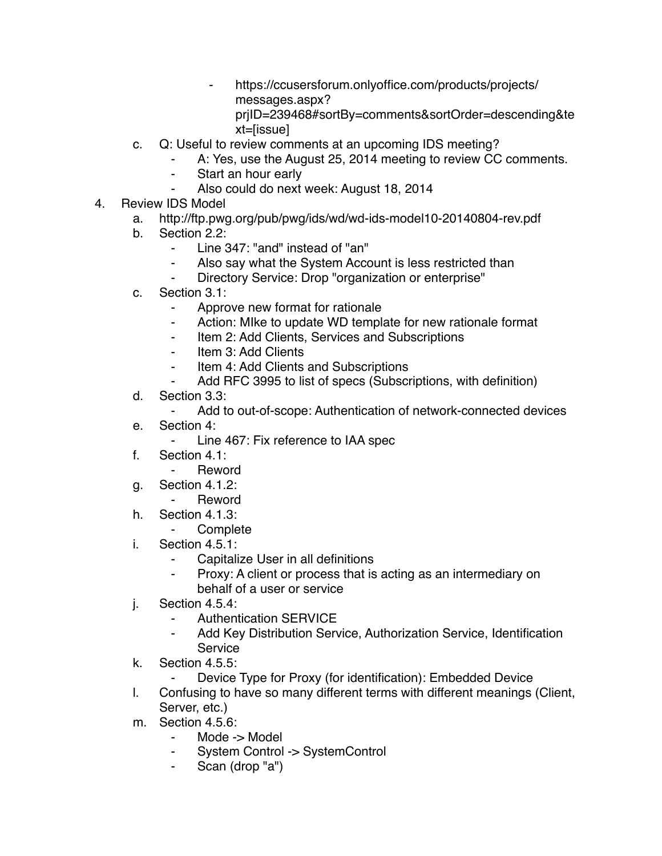- ⁃ https://ccusersforum.onlyoffice.com/products/projects/ messages.aspx? prjID=239468#sortBy=comments&sortOrder=descending&te xt=[issue]
- c. Q: Useful to review comments at an upcoming IDS meeting?
	- A: Yes, use the August 25, 2014 meeting to review CC comments.
	- ⁃ Start an hour early
	- Also could do next week: August 18, 2014
- 4. Review IDS Model
	- a. http://ftp.pwg.org/pub/pwg/ids/wd/wd-ids-model10-20140804-rev.pdf
	- b. Section 2.2:
		- ⁃ Line 347: "and" instead of "an"
		- Also say what the System Account is less restricted than
		- Directory Service: Drop "organization or enterprise"
	- c. Section 3.1:
		- Approve new format for rationale
		- ⁃ Action: MIke to update WD template for new rationale format
		- ⁃ Item 2: Add Clients, Services and Subscriptions
		- ⁃ Item 3: Add Clients
		- ⁃ Item 4: Add Clients and Subscriptions
		- Add RFC 3995 to list of specs (Subscriptions, with definition)
	- d. Section 3.3:
		- ⁃ Add to out-of-scope: Authentication of network-connected devices
	- e. Section 4:
		- ⁃ Line 467: Fix reference to IAA spec
	- f. Section 4.1:
		- ⁃ Reword
	- g. Section 4.1.2:
		- ⁃ Reword
	- h. Section 4.1.3:
		- ⁃ Complete
	- i. Section 4.5.1:
		- Capitalize User in all definitions
		- ⁃ Proxy: A client or process that is acting as an intermediary on behalf of a user or service
	- j. Section 4.5.4:
		- Authentication SERVICE
		- ⁃ Add Key Distribution Service, Authorization Service, Identification **Service**
	- k. Section 4.5.5:
		- Device Type for Proxy (for identification): Embedded Device
	- l. Confusing to have so many different terms with different meanings (Client, Server, etc.)
	- m. Section 4.5.6:
		- Mode -> Model
		- System Control -> SystemControl
		- ⁃ Scan (drop "a")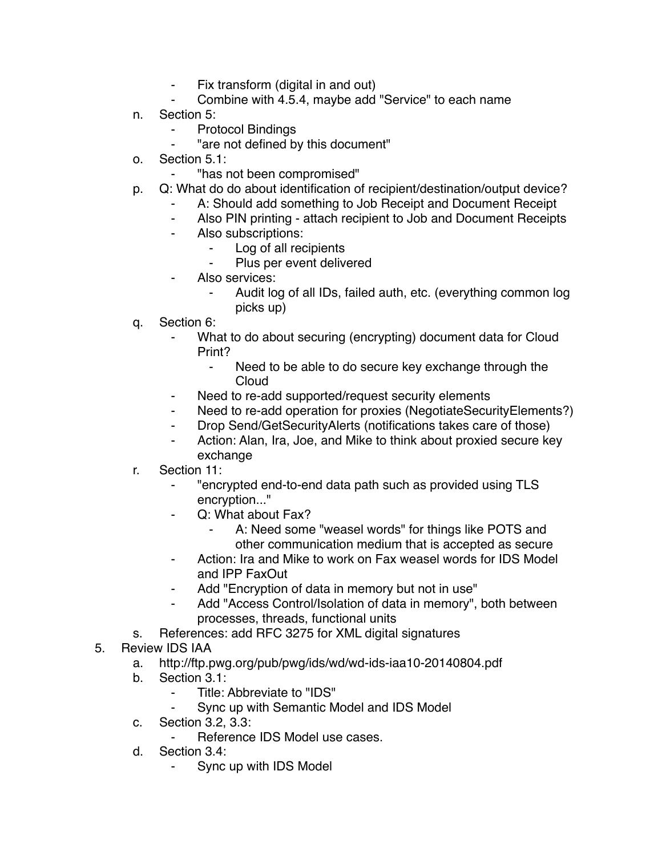- ⁃ Fix transform (digital in and out)
- Combine with 4.5.4, maybe add "Service" to each name
- n. Section 5:
	- **Protocol Bindings**
	- "are not defined by this document"
- o. Section 5.1:
	- ⁃ "has not been compromised"
- p. Q: What do do about identification of recipient/destination/output device?
	- A: Should add something to Job Receipt and Document Receipt
	- ⁃ Also PIN printing attach recipient to Job and Document Receipts
	- ⁃ Also subscriptions:
		- ⁃ Log of all recipients
		- Plus per event delivered
	- Also services:
		- Audit log of all IDs, failed auth, etc. (everything common log picks up)
- q. Section 6:
	- What to do about securing (encrypting) document data for Cloud Print?
		- ⁃ Need to be able to do secure key exchange through the **Cloud**
	- ⁃ Need to re-add supported/request security elements
	- Need to re-add operation for proxies (NegotiateSecurityElements?)
	- ⁃ Drop Send/GetSecurityAlerts (notifications takes care of those)
	- Action: Alan, Ira, Joe, and Mike to think about proxied secure key exchange
- r. Section 11:
	- ⁃ "encrypted end-to-end data path such as provided using TLS encryption..."
	- Q: What about Fax?
		- A: Need some "weasel words" for things like POTS and other communication medium that is accepted as secure
	- Action: Ira and Mike to work on Fax weasel words for IDS Model and IPP FaxOut
	- Add "Encryption of data in memory but not in use"
	- Add "Access Control/Isolation of data in memory", both between processes, threads, functional units
- s. References: add RFC 3275 for XML digital signatures
- 5. Review IDS IAA
	- a. http://ftp.pwg.org/pub/pwg/ids/wd/wd-ids-iaa10-20140804.pdf
	- b. Section 3.1:
		- ⁃ Title: Abbreviate to "IDS"
			- Sync up with Semantic Model and IDS Model
	- c. Section 3.2, 3.3:
		- Reference IDS Model use cases.
	- d. Section 3.4:
		- Sync up with IDS Model